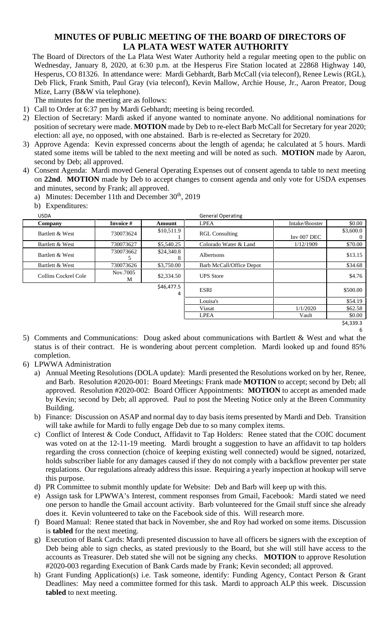## **MINUTES OF PUBLIC MEETING OF THE BOARD OF DIRECTORS OF LA PLATA WEST WATER AUTHORITY**

The Board of Directors of the La Plata West Water Authority held a regular meeting open to the public on Wednesday, January 8, 2020, at 6:30 p.m. at the Hesperus Fire Station located at 22868 Highway 140, Hesperus, CO 81326. In attendance were: Mardi Gebhardt, Barb McCall (via teleconf), Renee Lewis (RGL), Deb Flick, Frank Smith, Paul Gray (via teleconf), Kevin Mallow, Archie House, Jr., Aaron Preator, Doug Mize, Larry (B&W via telephone).

The minutes for the meeting are as follows:

- 1) Call to Order at 6:37 pm by Mardi Gebhardt; meeting is being recorded.
- 2) Election of Secretary: Mardi asked if anyone wanted to nominate anyone. No additional nominations for position of secretary were made. **MOTION** made by Deb to re-elect Barb McCall for Secretary for year 2020; election: all aye, no opposed, with one abstained. Barb is re-elected as Secretary for 2020.
- 3) Approve Agenda: Kevin expressed concerns about the length of agenda; he calculated at 5 hours. Mardi stated some items will be tabled to the next meeting and will be noted as such. **MOTION** made by Aaron, second by Deb; all approved.
- 4) Consent Agenda: Mardi moved General Operating Expenses out of consent agenda to table to next meeting on **22nd**. **MOTION** made by Deb to accept changes to consent agenda and only vote for USDA expenses and minutes, second by Frank; all approved.

a) Minutes: December 11th and December 30<sup>th</sup>, 2019

b) Expenditures:

| Company              | Invoice #     | Amount          | <b>LPEA</b>                     | Intake/Booster | \$0.00    |
|----------------------|---------------|-----------------|---------------------------------|----------------|-----------|
| Bartlett & West      | 730073624     | \$10,511.9      | <b>RGL Consulting</b>           | Inv $007$ DEC  | \$3,600.0 |
| Bartlett & West      | 730073627     | \$5,540.25      | Colorado Water & Land           | 1/12/1909      | \$70.00   |
| Bartlett & West      | 730073662     | \$24,340.8<br>8 | Albertsons                      |                | \$13.15   |
| Bartlett & West      | 730073626     | \$3,750.00      | <b>Barb McCall/Office Depot</b> |                | \$34.68   |
| Collins Cockrel Cole | Nov.7005<br>М | \$2,334.50      | <b>UPS</b> Store                |                | \$4.76    |
|                      |               | \$46,477.5<br>4 | <b>ESRI</b>                     |                | \$500.00  |
|                      |               |                 | Louisa's                        |                | \$54.19   |
|                      |               |                 | Viasat                          | 1/1/2020       | \$62.58   |
|                      |               |                 | <b>LPEA</b>                     | Vault          | \$0.00    |
|                      |               |                 |                                 |                | \$4,339.3 |

6

- 5) Comments and Communications: Doug asked about communications with Bartlett & West and what the status is of their contract. He is wondering about percent completion. Mardi looked up and found 85% completion.
- 6) LPWWA Administration
	- a) Annual Meeting Resolutions (DOLA update): Mardi presented the Resolutions worked on by her, Renee, and Barb. Resolution #2020-001: Board Meetings: Frank made **MOTION** to accept; second by Deb; all approved. Resolution #2020-002: Board Officer Appointments: **MOTION** to accept as amended made by Kevin; second by Deb; all approved. Paul to post the Meeting Notice only at the Breen Community Building.
	- b) Finance: Discussion on ASAP and normal day to day basis items presented by Mardi and Deb. Transition will take awhile for Mardi to fully engage Deb due to so many complex items.
	- c) Conflict of Interest & Code Conduct, Affidavit to Tap Holders: Renee stated that the COIC document was voted on at the 12-11-19 meeting. Mardi brought a suggestion to have an affidavit to tap holders regarding the cross connection (choice of keeping existing well connected) would be signed, notarized, holds subscriber liable for any damages caused if they do not comply with a backflow preventer per state regulations. Our regulations already address this issue. Requiring a yearly inspection at hookup will serve this purpose.
	- d) PR Committee to submit monthly update for Website: Deb and Barb will keep up with this.
	- e) Assign task for LPWWA's Interest, comment responses from Gmail, Facebook: Mardi stated we need one person to handle the Gmail account activity. Barb volunteered for the Gmail stuff since she already does it. Kevin volunteered to take on the Facebook side of this. Will research more.
	- f) Board Manual: Renee stated that back in November, she and Roy had worked on some items. Discussion is **tabled** for the next meeting.
	- g) Execution of Bank Cards: Mardi presented discussion to have all officers be signers with the exception of Deb being able to sign checks, as stated previously to the Board, but she will still have access to the accounts as Treasurer. Deb stated she will not be signing any checks. **MOTION** to approve Resolution #2020-003 regarding Execution of Bank Cards made by Frank; Kevin seconded; all approved.
	- h) Grant Funding Application(s) i.e. Task someone, identify: Funding Agency, Contact Person & Grant Deadlines: May need a committee formed for this task. Mardi to approach ALP this week. Discussion **tabled** to next meeting.